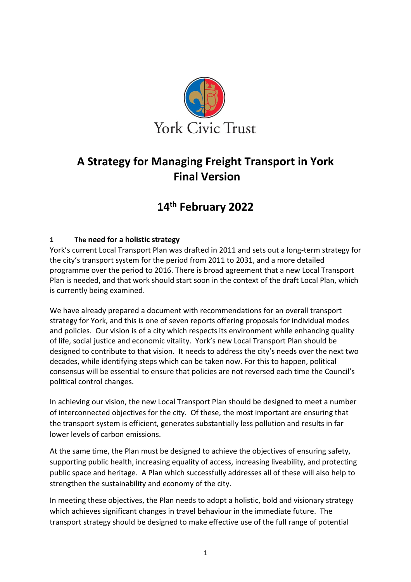

# **A Strategy for Managing Freight Transport in York Final Version**

# **14th February 2022**

# **1 The need for a holistic strategy**

York's current Local Transport Plan was drafted in 2011 and sets out a long-term strategy for the city's transport system for the period from 2011 to 2031, and a more detailed programme over the period to 2016. There is broad agreement that a new Local Transport Plan is needed, and that work should start soon in the context of the draft Local Plan, which is currently being examined.

We have already prepared a document with recommendations for an overall transport strategy for York, and this is one of seven reports offering proposals for individual modes and policies. Our vision is of a city which respects its environment while enhancing quality of life, social justice and economic vitality. York's new Local Transport Plan should be designed to contribute to that vision. It needs to address the city's needs over the next two decades, while identifying steps which can be taken now. For this to happen, political consensus will be essential to ensure that policies are not reversed each time the Council's political control changes.

In achieving our vision, the new Local Transport Plan should be designed to meet a number of interconnected objectives for the city. Of these, the most important are ensuring that the transport system is efficient, generates substantially less pollution and results in far lower levels of carbon emissions.

At the same time, the Plan must be designed to achieve the objectives of ensuring safety, supporting public health, increasing equality of access, increasing liveability, and protecting public space and heritage. A Plan which successfully addresses all of these will also help to strengthen the sustainability and economy of the city.

In meeting these objectives, the Plan needs to adopt a holistic, bold and visionary strategy which achieves significant changes in travel behaviour in the immediate future. The transport strategy should be designed to make effective use of the full range of potential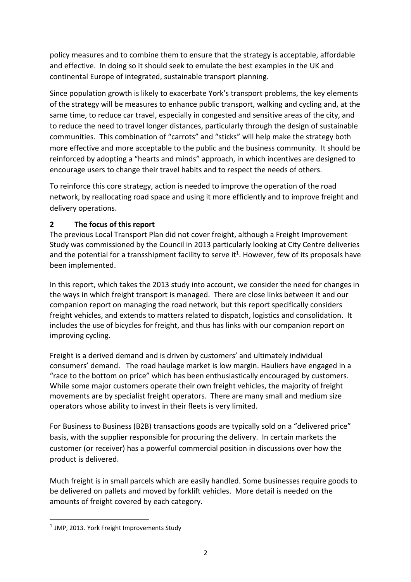policy measures and to combine them to ensure that the strategy is acceptable, affordable and effective. In doing so it should seek to emulate the best examples in the UK and continental Europe of integrated, sustainable transport planning.

Since population growth is likely to exacerbate York's transport problems, the key elements of the strategy will be measures to enhance public transport, walking and cycling and, at the same time, to reduce car travel, especially in congested and sensitive areas of the city, and to reduce the need to travel longer distances, particularly through the design of sustainable communities. This combination of "carrots" and "sticks" will help make the strategy both more effective and more acceptable to the public and the business community. It should be reinforced by adopting a "hearts and minds" approach, in which incentives are designed to encourage users to change their travel habits and to respect the needs of others.

To reinforce this core strategy, action is needed to improve the operation of the road network, by reallocating road space and using it more efficiently and to improve freight and delivery operations.

## **2 The focus of this report**

The previous Local Transport Plan did not cover freight, although a Freight Improvement Study was commissioned by the Council in 2013 particularly looking at City Centre deliveries and the potential for a transshipment facility to serve it<sup>1</sup>. However, few of its proposals have been implemented.

In this report, which takes the 2013 study into account, we consider the need for changes in the ways in which freight transport is managed. There are close links between it and our companion report on managing the road network, but this report specifically considers freight vehicles, and extends to matters related to dispatch, logistics and consolidation. It includes the use of bicycles for freight, and thus has links with our companion report on improving cycling.

Freight is a derived demand and is driven by customers' and ultimately individual consumers' demand. The road haulage market is low margin. Hauliers have engaged in a "race to the bottom on price" which has been enthusiastically encouraged by customers. While some major customers operate their own freight vehicles, the majority of freight movements are by specialist freight operators. There are many small and medium size operators whose ability to invest in their fleets is very limited.

For Business to Business (B2B) transactions goods are typically sold on a "delivered price" basis, with the supplier responsible for procuring the delivery. In certain markets the customer (or receiver) has a powerful commercial position in discussions over how the product is delivered.

Much freight is in small parcels which are easily handled. Some businesses require goods to be delivered on pallets and moved by forklift vehicles. More detail is needed on the amounts of freight covered by each category.

<sup>&</sup>lt;sup>1</sup> JMP, 2013. York Freight Improvements Study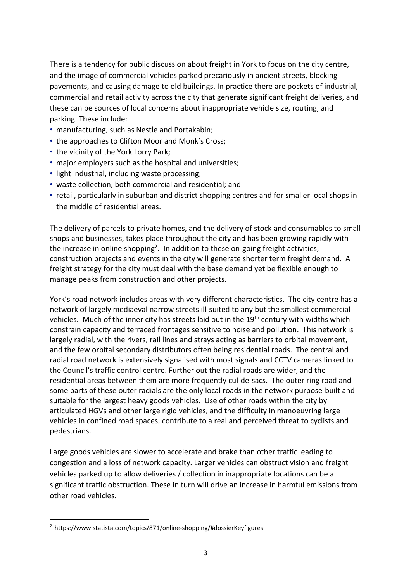There is a tendency for public discussion about freight in York to focus on the city centre, and the image of commercial vehicles parked precariously in ancient streets, blocking pavements, and causing damage to old buildings. In practice there are pockets of industrial, commercial and retail activity across the city that generate significant freight deliveries, and these can be sources of local concerns about inappropriate vehicle size, routing, and parking. These include:

- manufacturing, such as Nestle and Portakabin;
- the approaches to Clifton Moor and Monk's Cross;
- the vicinity of the York Lorry Park;
- major employers such as the hospital and universities;
- light industrial, including waste processing;
- waste collection, both commercial and residential; and
- retail, particularly in suburban and district shopping centres and for smaller local shops in the middle of residential areas.

The delivery of parcels to private homes, and the delivery of stock and consumables to small shops and businesses, takes place throughout the city and has been growing rapidly with the increase in online shopping<sup>2</sup>. In addition to these on-going freight activities, construction projects and events in the city will generate shorter term freight demand. A freight strategy for the city must deal with the base demand yet be flexible enough to manage peaks from construction and other projects.

York's road network includes areas with very different characteristics. The city centre has a network of largely mediaeval narrow streets ill-suited to any but the smallest commercial vehicles. Much of the inner city has streets laid out in the 19<sup>th</sup> century with widths which constrain capacity and terraced frontages sensitive to noise and pollution. This network is largely radial, with the rivers, rail lines and strays acting as barriers to orbital movement, and the few orbital secondary distributors often being residential roads. The central and radial road network is extensively signalised with most signals and CCTV cameras linked to the Council's traffic control centre. Further out the radial roads are wider, and the residential areas between them are more frequently cul-de-sacs. The outer ring road and some parts of these outer radials are the only local roads in the network purpose-built and suitable for the largest heavy goods vehicles. Use of other roads within the city by articulated HGVs and other large rigid vehicles, and the difficulty in manoeuvring large vehicles in confined road spaces, contribute to a real and perceived threat to cyclists and pedestrians.

Large goods vehicles are slower to accelerate and brake than other traffic leading to congestion and a loss of network capacity. Larger vehicles can obstruct vision and freight vehicles parked up to allow deliveries / collection in inappropriate locations can be a significant traffic obstruction. These in turn will drive an increase in harmful emissions from other road vehicles.

<sup>2</sup> https://www.statista.com/topics/871/online-shopping/#dossierKeyfigures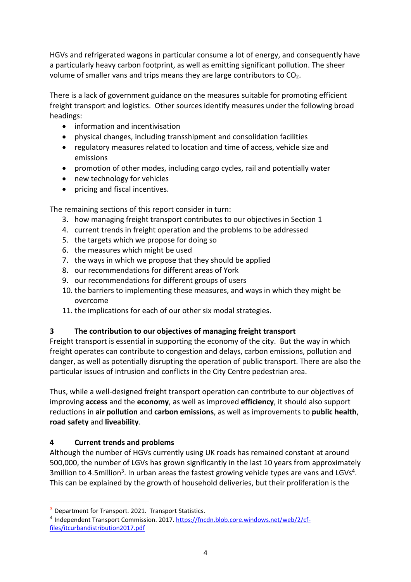HGVs and refrigerated wagons in particular consume a lot of energy, and consequently have a particularly heavy carbon footprint, as well as emitting significant pollution. The sheer volume of smaller vans and trips means they are large contributors to CO<sub>2</sub>.

There is a lack of government guidance on the measures suitable for promoting efficient freight transport and logistics. Other sources identify measures under the following broad headings:

- information and incentivisation
- physical changes, including transshipment and consolidation facilities
- regulatory measures related to location and time of access, vehicle size and emissions
- promotion of other modes, including cargo cycles, rail and potentially water
- new technology for vehicles
- pricing and fiscal incentives.

The remaining sections of this report consider in turn:

- 3. how managing freight transport contributes to our objectives in Section 1
- 4. current trends in freight operation and the problems to be addressed
- 5. the targets which we propose for doing so
- 6. the measures which might be used
- 7. the ways in which we propose that they should be applied
- 8. our recommendations for different areas of York
- 9. our recommendations for different groups of users
- 10. the barriers to implementing these measures, and ways in which they might be overcome
- 11. the implications for each of our other six modal strategies.

## **3 The contribution to our objectives of managing freight transport**

Freight transport is essential in supporting the economy of the city. But the way in which freight operates can contribute to congestion and delays, carbon emissions, pollution and danger, as well as potentially disrupting the operation of public transport. There are also the particular issues of intrusion and conflicts in the City Centre pedestrian area.

Thus, while a well-designed freight transport operation can contribute to our objectives of improving **access** and the **economy**, as well as improved **efficiency**, it should also support reductions in **air pollution** and **carbon emissions**, as well as improvements to **public health**, **road safety** and **liveability**.

# **4 Current trends and problems**

 $\overline{a}$ 

Although the number of HGVs currently using UK roads has remained constant at around 500,000, the number of LGVs has grown significantly in the last 10 years from approximately 3million to 4.5million<sup>3</sup>. In urban areas the fastest growing vehicle types are vans and LGVs<sup>4</sup>. This can be explained by the growth of household deliveries, but their proliferation is the

 $3$  Department for Transport. 2021. Transport Statistics.

<sup>&</sup>lt;sup>4</sup> Independent Transport Commission. 2017. [https://fncdn.blob.core.windows.net/web/2/cf](https://fncdn.blob.core.windows.net/web/2/cf-files/itcurbandistribution2017.pdf)[files/itcurbandistribution2017.pdf](https://fncdn.blob.core.windows.net/web/2/cf-files/itcurbandistribution2017.pdf)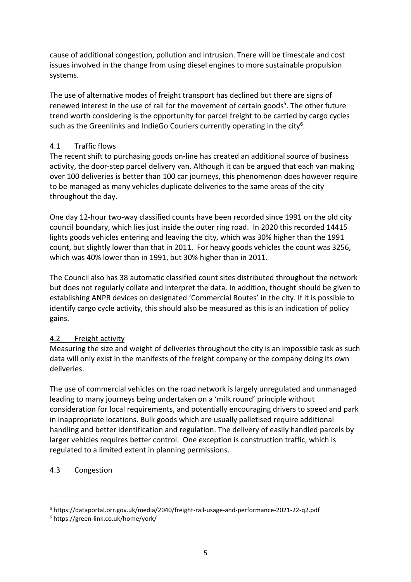cause of additional congestion, pollution and intrusion. There will be timescale and cost issues involved in the change from using diesel engines to more sustainable propulsion systems.

The use of alternative modes of freight transport has declined but there are signs of renewed interest in the use of rail for the movement of certain goods<sup>5</sup>. The other future trend worth considering is the opportunity for parcel freight to be carried by cargo cycles such as the Greenlinks and IndieGo Couriers currently operating in the city $^6$ .

#### 4.1 Traffic flows

The recent shift to purchasing goods on-line has created an additional source of business activity, the door-step parcel delivery van. Although it can be argued that each van making over 100 deliveries is better than 100 car journeys, this phenomenon does however require to be managed as many vehicles duplicate deliveries to the same areas of the city throughout the day.

One day 12-hour two-way classified counts have been recorded since 1991 on the old city council boundary, which lies just inside the outer ring road. In 2020 this recorded 14415 lights goods vehicles entering and leaving the city, which was 30% higher than the 1991 count, but slightly lower than that in 2011. For heavy goods vehicles the count was 3256, which was 40% lower than in 1991, but 30% higher than in 2011.

The Council also has 38 automatic classified count sites distributed throughout the network but does not regularly collate and interpret the data. In addition, thought should be given to establishing ANPR devices on designated 'Commercial Routes' in the city. If it is possible to identify cargo cycle activity, this should also be measured as this is an indication of policy gains.

## 4.2 Freight activity

Measuring the size and weight of deliveries throughout the city is an impossible task as such data will only exist in the manifests of the freight company or the company doing its own deliveries.

The use of commercial vehicles on the road network is largely unregulated and unmanaged leading to many journeys being undertaken on a 'milk round' principle without consideration for local requirements, and potentially encouraging drivers to speed and park in inappropriate locations. Bulk goods which are usually palletised require additional handling and better identification and regulation. The delivery of easily handled parcels by larger vehicles requires better control. One exception is construction traffic, which is regulated to a limited extent in planning permissions.

## 4.3 Congestion

<sup>5</sup> https://dataportal.orr.gov.uk/media/2040/freight-rail-usage-and-performance-2021-22-q2.pdf

<sup>6</sup> https://green-link.co.uk/home/york/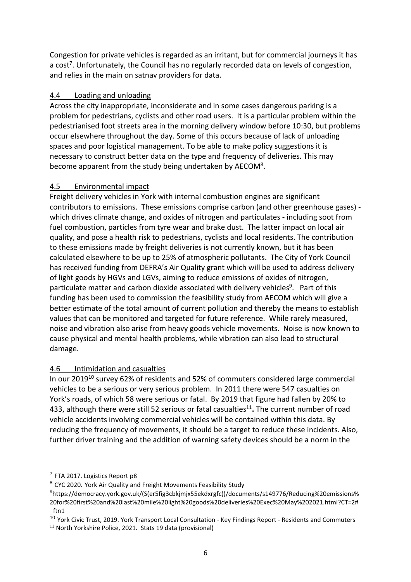Congestion for private vehicles is regarded as an irritant, but for commercial journeys it has a cost<sup>7</sup>. Unfortunately, the Council has no regularly recorded data on levels of congestion, and relies in the main on satnav providers for data.

#### 4.4 Loading and unloading

Across the city inappropriate, inconsiderate and in some cases dangerous parking is a problem for pedestrians, cyclists and other road users. It is a particular problem within the pedestrianised foot streets area in the morning delivery window before 10:30, but problems occur elsewhere throughout the day. Some of this occurs because of lack of unloading spaces and poor logistical management. To be able to make policy suggestions it is necessary to construct better data on the type and frequency of deliveries. This may become apparent from the study being undertaken by AECOM<sup>8</sup>.

#### 4.5 Environmental impact

Freight delivery vehicles in York with internal combustion engines are significant contributors to emissions. These emissions comprise carbon (and other greenhouse gases) which drives climate change, and oxides of nitrogen and particulates - including soot from fuel combustion, particles from tyre wear and brake dust. The latter impact on local air quality, and pose a health risk to pedestrians, cyclists and local residents. The contribution to these emissions made by freight deliveries is not currently known, but it has been calculated elsewhere to be up to 25% of atmospheric pollutants. The City of York Council has received funding from DEFRA's Air Quality grant which will be used to address delivery of light goods by HGVs and LGVs, aiming to reduce emissions of oxides of nitrogen, particulate matter and carbon dioxide associated with delivery vehicles<sup>9</sup>. Part of this funding has been used to commission the feasibility study from AECOM which will give a better estimate of the total amount of current pollution and thereby the means to establish values that can be monitored and targeted for future reference. While rarely measured, noise and vibration also arise from heavy goods vehicle movements. Noise is now known to cause physical and mental health problems, while vibration can also lead to structural damage.

## 4.6 Intimidation and casualties

In our 2019<sup>10</sup> survey 62% of residents and 52% of commuters considered large commercial vehicles to be a serious or very serious problem. In 2011 there were 547 casualties on York's roads, of which 58 were serious or fatal. By 2019 that figure had fallen by 20% to 433, although there were still 52 serious or fatal casualties<sup>11</sup>. The current number of road vehicle accidents involving commercial vehicles will be contained within this data. By reducing the frequency of movements, it should be a target to reduce these incidents. Also, further driver training and the addition of warning safety devices should be a norm in the

<sup>&</sup>lt;sup>7</sup> FTA 2017. Logistics Report p8

<sup>8</sup> CYC 2020. York Air Quality and Freight Movements Feasibility Study

<sup>&</sup>lt;sup>9</sup>https://democracy.york.gov.uk/(S(er5fig3cbkjmjx55ekdxrgfc))/documents/s149776/Reducing%20emissions% 20for%20first%20and%20last%20mile%20light%20goods%20deliveries%20Exec%20May%202021.html?CT=2# \_ftn1

 $\frac{10}{10}$  York Civic Trust, 2019. York Transport Local Consultation - Key Findings Report - Residents and Commuters

<sup>&</sup>lt;sup>11</sup> North Yorkshire Police, 2021. Stats 19 data (provisional)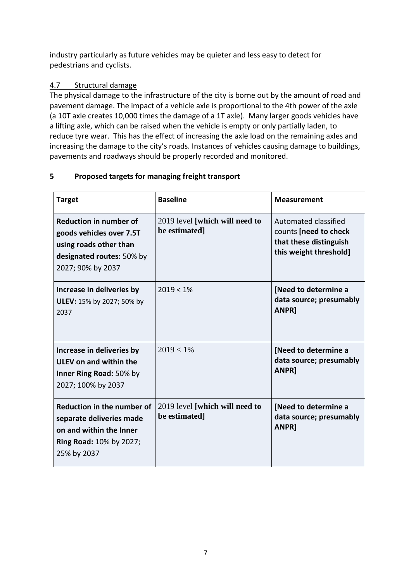industry particularly as future vehicles may be quieter and less easy to detect for pedestrians and cyclists.

# 4.7 Structural damage

The physical damage to the infrastructure of the city is borne out by the amount of road and pavement damage. The impact of a vehicle axle is proportional to the 4th power of the axle (a 10T axle creates 10,000 times the damage of a 1T axle). Many larger goods vehicles have a lifting axle, which can be raised when the vehicle is empty or only partially laden, to reduce tyre wear. This has the effect of increasing the axle load on the remaining axles and increasing the damage to the city's roads. Instances of vehicles causing damage to buildings, pavements and roadways should be properly recorded and monitored.

# **5 Proposed targets for managing freight transport**

| <b>Target</b>                                                                                                                         | <b>Baseline</b>                                 | <b>Measurement</b>                                                                                |
|---------------------------------------------------------------------------------------------------------------------------------------|-------------------------------------------------|---------------------------------------------------------------------------------------------------|
| <b>Reduction in number of</b><br>goods vehicles over 7.5T<br>using roads other than<br>designated routes: 50% by<br>2027; 90% by 2037 | 2019 level [which will need to<br>be estimated] | Automated classified<br>counts [need to check<br>that these distinguish<br>this weight threshold] |
| Increase in deliveries by<br>ULEV: 15% by 2027; 50% by<br>2037                                                                        | $2019 < 1\%$                                    | [Need to determine a<br>data source; presumably<br><b>ANPR]</b>                                   |
| Increase in deliveries by<br>ULEV on and within the<br>Inner Ring Road: 50% by<br>2027; 100% by 2037                                  | $2019 < 1\%$                                    | [Need to determine a<br>data source; presumably<br><b>ANPR]</b>                                   |
| Reduction in the number of<br>separate deliveries made<br>on and within the Inner<br><b>Ring Road: 10% by 2027;</b><br>25% by 2037    | 2019 level [which will need to<br>be estimated] | [Need to determine a<br>data source; presumably<br><b>ANPR]</b>                                   |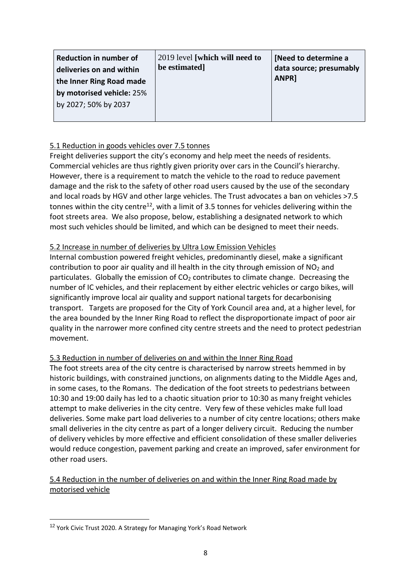| <b>Reduction in number of</b><br>deliveries on and within | 2019 level [which will need to<br>be estimated] | [Need to determine a<br>data source; presumably<br>ANPR] |
|-----------------------------------------------------------|-------------------------------------------------|----------------------------------------------------------|
| the Inner Ring Road made                                  |                                                 |                                                          |
| by motorised vehicle: 25%                                 |                                                 |                                                          |
| by 2027; 50% by 2037                                      |                                                 |                                                          |
|                                                           |                                                 |                                                          |

#### 5.1 Reduction in goods vehicles over 7.5 tonnes

Freight deliveries support the city's economy and help meet the needs of residents. Commercial vehicles are thus rightly given priority over cars in the Council's hierarchy. However, there is a requirement to match the vehicle to the road to reduce pavement damage and the risk to the safety of other road users caused by the use of the secondary and local roads by HGV and other large vehicles. The Trust advocates a ban on vehicles >7.5 tonnes within the city centre $^{12}$ , with a limit of 3.5 tonnes for vehicles delivering within the foot streets area. We also propose, below, establishing a designated network to which most such vehicles should be limited, and which can be designed to meet their needs.

#### 5.2 Increase in number of deliveries by Ultra Low Emission Vehicles

Internal combustion powered freight vehicles, predominantly diesel, make a significant contribution to poor air quality and ill health in the city through emission of  $NO<sub>2</sub>$  and particulates. Globally the emission of  $CO<sub>2</sub>$  contributes to climate change. Decreasing the number of IC vehicles, and their replacement by either electric vehicles or cargo bikes, will significantly improve local air quality and support national targets for decarbonising transport. Targets are proposed for the City of York Council area and, at a higher level, for the area bounded by the Inner Ring Road to reflect the disproportionate impact of poor air quality in the narrower more confined city centre streets and the need to protect pedestrian movement.

## 5.3 Reduction in number of deliveries on and within the Inner Ring Road

The foot streets area of the city centre is characterised by narrow streets hemmed in by historic buildings, with constrained junctions, on alignments dating to the Middle Ages and, in some cases, to the Romans. The dedication of the foot streets to pedestrians between 10:30 and 19:00 daily has led to a chaotic situation prior to 10:30 as many freight vehicles attempt to make deliveries in the city centre. Very few of these vehicles make full load deliveries. Some make part load deliveries to a number of city centre locations; others make small deliveries in the city centre as part of a longer delivery circuit. Reducing the number of delivery vehicles by more effective and efficient consolidation of these smaller deliveries would reduce congestion, pavement parking and create an improved, safer environment for other road users.

#### 5.4 Reduction in the number of deliveries on and within the Inner Ring Road made by motorised vehicle

<sup>&</sup>lt;sup>12</sup> York Civic Trust 2020. A Strategy for Managing York's Road Network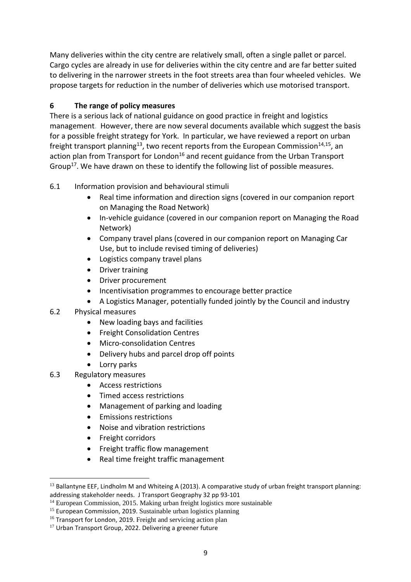Many deliveries within the city centre are relatively small, often a single pallet or parcel. Cargo cycles are already in use for deliveries within the city centre and are far better suited to delivering in the narrower streets in the foot streets area than four wheeled vehicles. We propose targets for reduction in the number of deliveries which use motorised transport.

# **6 The range of policy measures**

There is a serious lack of national guidance on good practice in freight and logistics management. However, there are now several documents available which suggest the basis for a possible freight strategy for York. In particular, we have reviewed a report on urban freight transport planning<sup>13</sup>, two recent reports from the European Commission<sup>14,15</sup>, an action plan from Transport for London<sup>16</sup> and recent guidance from the Urban Transport Group<sup>17</sup>. We have drawn on these to identify the following list of possible measures.

# 6.1 Information provision and behavioural stimuli

- Real time information and direction signs (covered in our companion report on Managing the Road Network)
- In-vehicle guidance (covered in our companion report on Managing the Road Network)
- Company travel plans (covered in our companion report on Managing Car Use, but to include revised timing of deliveries)
- Logistics company travel plans
- Driver training
- Driver procurement
- Incentivisation programmes to encourage better practice
- A Logistics Manager, potentially funded jointly by the Council and industry
- 6.2 Physical measures
	- New loading bays and facilities
	- Freight Consolidation Centres
	- Micro-consolidation Centres
	- Delivery hubs and parcel drop off points
	- Lorry parks
- 6.3 Regulatory measures

- Access restrictions
- Timed access restrictions
- Management of parking and loading
- Emissions restrictions
- Noise and vibration restrictions
- Freight corridors
- Freight traffic flow management
- Real time freight traffic management

<sup>&</sup>lt;sup>13</sup> Ballantyne EEF, Lindholm M and Whiteing A (2013). A comparative study of urban freight transport planning: addressing stakeholder needs. J Transport Geography 32 pp 93-101

<sup>&</sup>lt;sup>14</sup> European Commission, 2015. Making urban freight logistics more sustainable

<sup>&</sup>lt;sup>15</sup> European Commission, 2019. Sustainable urban logistics planning

<sup>&</sup>lt;sup>16</sup> Transport for London, 2019. Freight and servicing action plan

 $17$  Urban Transport Group, 2022. Delivering a greener future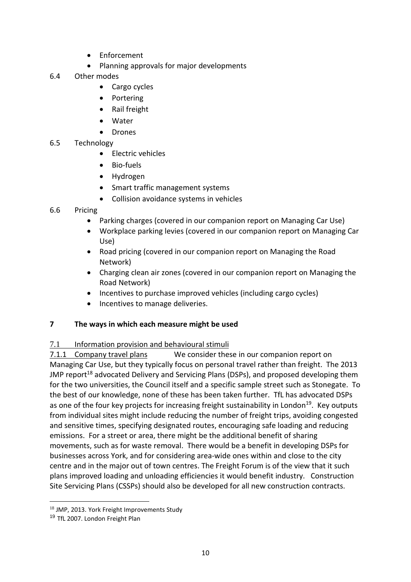- Enforcement
- Planning approvals for major developments
- 6.4 Other modes
	- Cargo cycles
	- Portering
	- Rail freight
	- Water
	- Drones

#### 6.5 Technology

- Electric vehicles
- Bio-fuels
- Hydrogen
- Smart traffic management systems
- Collision avoidance systems in vehicles
- 6.6 Pricing
	- Parking charges (covered in our companion report on Managing Car Use)
	- Workplace parking levies (covered in our companion report on Managing Car Use)
	- Road pricing (covered in our companion report on Managing the Road Network)
	- Charging clean air zones (covered in our companion report on Managing the Road Network)
	- Incentives to purchase improved vehicles (including cargo cycles)
	- Incentives to manage deliveries.

#### **7 The ways in which each measure might be used**

#### 7.1 Information provision and behavioural stimuli

7.1.1 Company travel plans We consider these in our companion report on Managing Car Use, but they typically focus on personal travel rather than freight. The 2013 JMP report<sup>18</sup> advocated Delivery and Servicing Plans (DSPs), and proposed developing them for the two universities, the Council itself and a specific sample street such as Stonegate. To the best of our knowledge, none of these has been taken further. TfL has advocated DSPs as one of the four key projects for increasing freight sustainability in London<sup>19</sup>. Key outputs from individual sites might include reducing the number of freight trips, avoiding congested and sensitive times, specifying designated routes, encouraging safe loading and reducing emissions. For a street or area, there might be the additional benefit of sharing movements, such as for waste removal. There would be a benefit in developing DSPs for businesses across York, and for considering area-wide ones within and close to the city centre and in the major out of town centres. The Freight Forum is of the view that it such plans improved loading and unloading efficiencies it would benefit industry. Construction Site Servicing Plans (CSSPs) should also be developed for all new construction contracts.

<sup>18</sup> JMP, 2013. York Freight Improvements Study

<sup>&</sup>lt;sup>19</sup> TfL 2007. London Freight Plan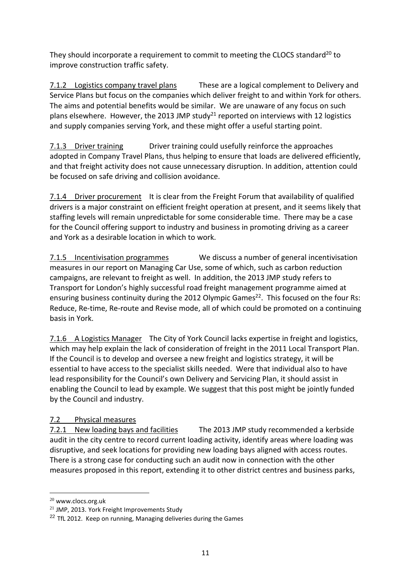They should incorporate a requirement to commit to meeting the CLOCS standard<sup>20</sup> to improve construction traffic safety.

7.1.2 Logistics company travel plans These are a logical complement to Delivery and Service Plans but focus on the companies which deliver freight to and within York for others. The aims and potential benefits would be similar. We are unaware of any focus on such plans elsewhere. However, the 2013 JMP study<sup>21</sup> reported on interviews with 12 logistics and supply companies serving York, and these might offer a useful starting point.

7.1.3 Driver training Driver training could usefully reinforce the approaches adopted in Company Travel Plans, thus helping to ensure that loads are delivered efficiently, and that freight activity does not cause unnecessary disruption. In addition, attention could be focused on safe driving and collision avoidance.

7.1.4 Driver procurement It is clear from the Freight Forum that availability of qualified drivers is a major constraint on efficient freight operation at present, and it seems likely that staffing levels will remain unpredictable for some considerable time. There may be a case for the Council offering support to industry and business in promoting driving as a career and York as a desirable location in which to work.

7.1.5 Incentivisation programmes We discuss a number of general incentivisation measures in our report on Managing Car Use, some of which, such as carbon reduction campaigns, are relevant to freight as well. In addition, the 2013 JMP study refers to Transport for London's highly successful road freight management programme aimed at ensuring business continuity during the 2012 Olympic Games<sup>22</sup>. This focused on the four Rs: Reduce, Re-time, Re-route and Revise mode, all of which could be promoted on a continuing basis in York.

7.1.6 A Logistics Manager The City of York Council lacks expertise in freight and logistics, which may help explain the lack of consideration of freight in the 2011 Local Transport Plan. If the Council is to develop and oversee a new freight and logistics strategy, it will be essential to have access to the specialist skills needed. Were that individual also to have lead responsibility for the Council's own Delivery and Servicing Plan, it should assist in enabling the Council to lead by example. We suggest that this post might be jointly funded by the Council and industry.

## 7.2 Physical measures

7.2.1 New loading bays and facilities The 2013 JMP study recommended a kerbside audit in the city centre to record current loading activity, identify areas where loading was disruptive, and seek locations for providing new loading bays aligned with access routes. There is a strong case for conducting such an audit now in connection with the other measures proposed in this report, extending it to other district centres and business parks,

<sup>20</sup> www.clocs.org.uk

<sup>21</sup> JMP, 2013. York Freight Improvements Study

 $22$  TfL 2012. Keep on running, Managing deliveries during the Games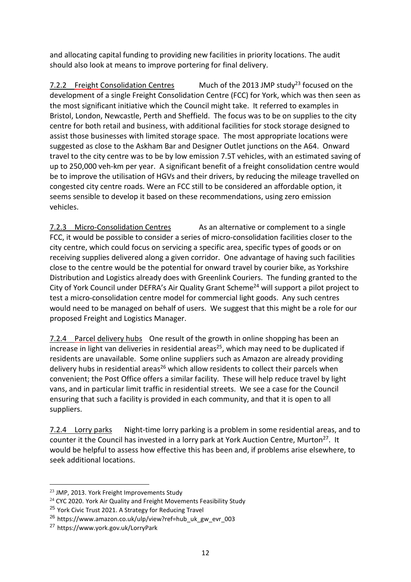and allocating capital funding to providing new facilities in priority locations. The audit should also look at means to improve portering for final delivery.

7.2.2 Freight Consolidation Centres Much of the 2013 JMP study<sup>23</sup> focused on the development of a single Freight Consolidation Centre (FCC) for York, which was then seen as the most significant initiative which the Council might take. It referred to examples in Bristol, London, Newcastle, Perth and Sheffield. The focus was to be on supplies to the city centre for both retail and business, with additional facilities for stock storage designed to assist those businesses with limited storage space. The most appropriate locations were suggested as close to the Askham Bar and Designer Outlet junctions on the A64. Onward travel to the city centre was to be by low emission 7.5T vehicles, with an estimated saving of up to 250,000 veh-km per year. A significant benefit of a freight consolidation centre would be to improve the utilisation of HGVs and their drivers, by reducing the mileage travelled on congested city centre roads. Were an FCC still to be considered an affordable option, it seems sensible to develop it based on these recommendations, using zero emission vehicles.

7.2.3 Micro-Consolidation Centres As an alternative or complement to a single FCC, it would be possible to consider a series of micro-consolidation facilities closer to the city centre, which could focus on servicing a specific area, specific types of goods or on receiving supplies delivered along a given corridor. One advantage of having such facilities close to the centre would be the potential for onward travel by courier bike, as Yorkshire Distribution and Logistics already does with Greenlink Couriers. The funding granted to the City of York Council under DEFRA's Air Quality Grant Scheme<sup>24</sup> will support a pilot project to test a micro-consolidation centre model for commercial light goods. Any such centres would need to be managed on behalf of users. We suggest that this might be a role for our proposed Freight and Logistics Manager.

7.2.4 Parcel delivery hubs One result of the growth in online shopping has been an increase in light van deliveries in residential areas<sup>25</sup>, which may need to be duplicated if residents are unavailable. Some online suppliers such as Amazon are already providing delivery hubs in residential areas<sup>26</sup> which allow residents to collect their parcels when convenient; the Post Office offers a similar facility. These will help reduce travel by light vans, and in particular limit traffic in residential streets. We see a case for the Council ensuring that such a facility is provided in each community, and that it is open to all suppliers.

7.2.4 Lorry parks Night-time lorry parking is a problem in some residential areas, and to counter it the Council has invested in a lorry park at York Auction Centre, Murton<sup>27</sup>. It would be helpful to assess how effective this has been and, if problems arise elsewhere, to seek additional locations.

<sup>23</sup> JMP, 2013. York Freight Improvements Study

<sup>&</sup>lt;sup>24</sup> CYC 2020. York Air Quality and Freight Movements Feasibility Study

<sup>&</sup>lt;sup>25</sup> York Civic Trust 2021. A Strategy for Reducing Travel

<sup>26</sup> https://www.amazon.co.uk/ulp/view?ref=hub\_uk\_gw\_evr\_003

<sup>27</sup> https://www.york.gov.uk/LorryPark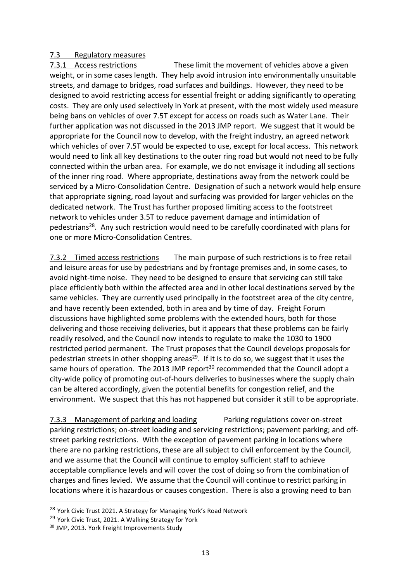#### 7.3 Regulatory measures

7.3.1 Access restrictions These limit the movement of vehicles above a given weight, or in some cases length. They help avoid intrusion into environmentally unsuitable streets, and damage to bridges, road surfaces and buildings. However, they need to be designed to avoid restricting access for essential freight or adding significantly to operating costs. They are only used selectively in York at present, with the most widely used measure being bans on vehicles of over 7.5T except for access on roads such as Water Lane. Their further application was not discussed in the 2013 JMP report. We suggest that it would be appropriate for the Council now to develop, with the freight industry, an agreed network which vehicles of over 7.5T would be expected to use, except for local access. This network would need to link all key destinations to the outer ring road but would not need to be fully connected within the urban area. For example, we do not envisage it including all sections of the inner ring road. Where appropriate, destinations away from the network could be serviced by a Micro-Consolidation Centre. Designation of such a network would help ensure that appropriate signing, road layout and surfacing was provided for larger vehicles on the dedicated network. The Trust has further proposed limiting access to the footstreet network to vehicles under 3.5T to reduce pavement damage and intimidation of pedestrians<sup>28</sup>. Any such restriction would need to be carefully coordinated with plans for one or more Micro-Consolidation Centres.

7.3.2 Timed access restrictions The main purpose of such restrictions is to free retail and leisure areas for use by pedestrians and by frontage premises and, in some cases, to avoid night-time noise. They need to be designed to ensure that servicing can still take place efficiently both within the affected area and in other local destinations served by the same vehicles. They are currently used principally in the footstreet area of the city centre, and have recently been extended, both in area and by time of day. Freight Forum discussions have highlighted some problems with the extended hours, both for those delivering and those receiving deliveries, but it appears that these problems can be fairly readily resolved, and the Council now intends to regulate to make the 1030 to 1900 restricted period permanent. The Trust proposes that the Council develops proposals for pedestrian streets in other shopping areas<sup>29</sup>. If it is to do so, we suggest that it uses the same hours of operation. The 2013 JMP report<sup>30</sup> recommended that the Council adopt a city-wide policy of promoting out-of-hours deliveries to businesses where the supply chain can be altered accordingly, given the potential benefits for congestion relief, and the environment. We suspect that this has not happened but consider it still to be appropriate.

7.3.3 Management of parking and loading Parking regulations cover on-street parking restrictions; on-street loading and servicing restrictions; pavement parking; and offstreet parking restrictions. With the exception of pavement parking in locations where there are no parking restrictions, these are all subject to civil enforcement by the Council, and we assume that the Council will continue to employ sufficient staff to achieve acceptable compliance levels and will cover the cost of doing so from the combination of charges and fines levied. We assume that the Council will continue to restrict parking in locations where it is hazardous or causes congestion. There is also a growing need to ban

<sup>&</sup>lt;sup>28</sup> York Civic Trust 2021. A Strategy for Managing York's Road Network

<sup>29</sup> York Civic Trust, 2021. A Walking Strategy for York

<sup>30</sup> JMP, 2013. York Freight Improvements Study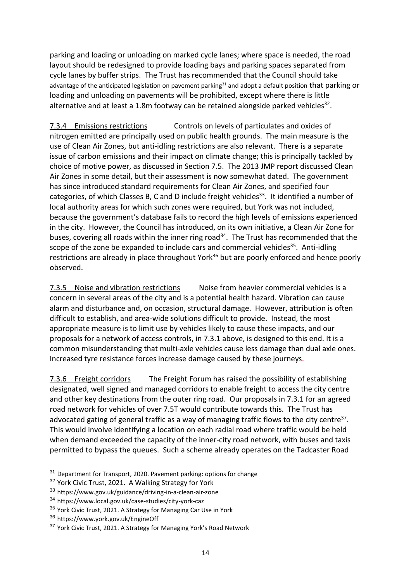parking and loading or unloading on marked cycle lanes; where space is needed, the road layout should be redesigned to provide loading bays and parking spaces separated from cycle lanes by buffer strips. The Trust has recommended that the Council should take advantage of the anticipated legislation on pavement parking<sup>31</sup> and adopt a default position that parking or loading and unloading on pavements will be prohibited, except where there is little alternative and at least a 1.8m footway can be retained alongside parked vehicles<sup>32</sup>.

7.3.4 Emissions restrictions Controls on levels of particulates and oxides of nitrogen emitted are principally used on public health grounds. The main measure is the use of Clean Air Zones, but anti-idling restrictions are also relevant. There is a separate issue of carbon emissions and their impact on climate change; this is principally tackled by choice of motive power, as discussed in Section 7.5. The 2013 JMP report discussed Clean Air Zones in some detail, but their assessment is now somewhat dated. The government has since introduced standard requirements for Clean Air Zones, and specified four categories, of which Classes B, C and D include freight vehicles<sup>33</sup>. It identified a number of local authority areas for which such zones were required, but York was not included, because the government's database fails to record the high levels of emissions experienced in the city. However, the Council has introduced, on its own initiative, a Clean Air Zone for buses, covering all roads within the inner ring road<sup>34</sup>. The Trust has recommended that the scope of the zone be expanded to include cars and commercial vehicles<sup>35</sup>. Anti-idling restrictions are already in place throughout York<sup>36</sup> but are poorly enforced and hence poorly observed.

7.3.5 Noise and vibration restrictions Noise from heavier commercial vehicles is a concern in several areas of the city and is a potential health hazard. Vibration can cause alarm and disturbance and, on occasion, structural damage. However, attribution is often difficult to establish, and area-wide solutions difficult to provide. Instead, the most appropriate measure is to limit use by vehicles likely to cause these impacts, and our proposals for a network of access controls, in 7.3.1 above, is designed to this end. It is a common misunderstanding that multi-axle vehicles cause less damage than dual axle ones. Increased tyre resistance forces increase damage caused by these journeys.

7.3.6 Freight corridors The Freight Forum has raised the possibility of establishing designated, well signed and managed corridors to enable freight to access the city centre and other key destinations from the outer ring road. Our proposals in 7.3.1 for an agreed road network for vehicles of over 7.5T would contribute towards this. The Trust has advocated gating of general traffic as a way of managing traffic flows to the city centre<sup>37</sup>. This would involve identifying a location on each radial road where traffic would be held when demand exceeded the capacity of the inner-city road network, with buses and taxis permitted to bypass the queues. Such a scheme already operates on the Tadcaster Road

<sup>&</sup>lt;sup>31</sup> Department for Transport, 2020. Pavement parking: options for change

<sup>&</sup>lt;sup>32</sup> York Civic Trust, 2021. A Walking Strategy for York

<sup>33</sup> https://www.gov.uk/guidance/driving-in-a-clean-air-zone

<sup>34</sup> https://www.local.gov.uk/case-studies/city-york-caz

<sup>&</sup>lt;sup>35</sup> York Civic Trust, 2021. A Strategy for Managing Car Use in York

<sup>36</sup> https://www.york.gov.uk/EngineOff

<sup>&</sup>lt;sup>37</sup> York Civic Trust, 2021. A Strategy for Managing York's Road Network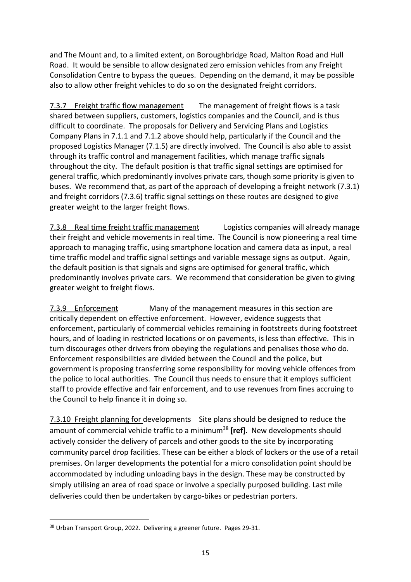and The Mount and, to a limited extent, on Boroughbridge Road, Malton Road and Hull Road. It would be sensible to allow designated zero emission vehicles from any Freight Consolidation Centre to bypass the queues. Depending on the demand, it may be possible also to allow other freight vehicles to do so on the designated freight corridors.

7.3.7 Freight traffic flow management The management of freight flows is a task shared between suppliers, customers, logistics companies and the Council, and is thus difficult to coordinate. The proposals for Delivery and Servicing Plans and Logistics Company Plans in 7.1.1 and 7.1.2 above should help, particularly if the Council and the proposed Logistics Manager (7.1.5) are directly involved. The Council is also able to assist through its traffic control and management facilities, which manage traffic signals throughout the city. The default position is that traffic signal settings are optimised for general traffic, which predominantly involves private cars, though some priority is given to buses. We recommend that, as part of the approach of developing a freight network (7.3.1) and freight corridors (7.3.6) traffic signal settings on these routes are designed to give greater weight to the larger freight flows.

7.3.8 Real time freight traffic management Logistics companies will already manage their freight and vehicle movements in real time. The Council is now pioneering a real time approach to managing traffic, using smartphone location and camera data as input, a real time traffic model and traffic signal settings and variable message signs as output. Again, the default position is that signals and signs are optimised for general traffic, which predominantly involves private cars. We recommend that consideration be given to giving greater weight to freight flows.

7.3.9 Enforcement Many of the management measures in this section are critically dependent on effective enforcement. However, evidence suggests that enforcement, particularly of commercial vehicles remaining in footstreets during footstreet hours, and of loading in restricted locations or on pavements, is less than effective. This in turn discourages other drivers from obeying the regulations and penalises those who do. Enforcement responsibilities are divided between the Council and the police, but government is proposing transferring some responsibility for moving vehicle offences from the police to local authorities. The Council thus needs to ensure that it employs sufficient staff to provide effective and fair enforcement, and to use revenues from fines accruing to the Council to help finance it in doing so.

7.3.10 Freight planning for developments Site plans should be designed to reduce the amount of commercial vehicle traffic to a minimum<sup>38</sup> [ref]. New developments should actively consider the delivery of parcels and other goods to the site by incorporating community parcel drop facilities. These can be either a block of lockers or the use of a retail premises. On larger developments the potential for a micro consolidation point should be accommodated by including unloading bays in the design. These may be constructed by simply utilising an area of road space or involve a specially purposed building. Last mile deliveries could then be undertaken by cargo-bikes or pedestrian porters.

<sup>38</sup> Urban Transport Group, 2022. Delivering a greener future. Pages 29-31.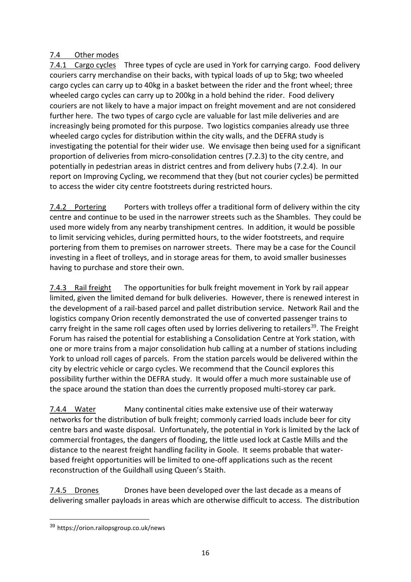#### 7.4 Other modes

7.4.1 Cargo cycles Three types of cycle are used in York for carrying cargo. Food delivery couriers carry merchandise on their backs, with typical loads of up to 5kg; two wheeled cargo cycles can carry up to 40kg in a basket between the rider and the front wheel; three wheeled cargo cycles can carry up to 200kg in a hold behind the rider. Food delivery couriers are not likely to have a major impact on freight movement and are not considered further here. The two types of cargo cycle are valuable for last mile deliveries and are increasingly being promoted for this purpose. Two logistics companies already use three wheeled cargo cycles for distribution within the city walls, and the DEFRA study is investigating the potential for their wider use. We envisage then being used for a significant proportion of deliveries from micro-consolidation centres (7.2.3) to the city centre, and potentially in pedestrian areas in district centres and from delivery hubs (7.2.4). In our report on Improving Cycling, we recommend that they (but not courier cycles) be permitted to access the wider city centre footstreets during restricted hours.

7.4.2 Portering Porters with trolleys offer a traditional form of delivery within the city centre and continue to be used in the narrower streets such as the Shambles. They could be used more widely from any nearby transhipment centres. In addition, it would be possible to limit servicing vehicles, during permitted hours, to the wider footstreets, and require portering from them to premises on narrower streets. There may be a case for the Council investing in a fleet of trolleys, and in storage areas for them, to avoid smaller businesses having to purchase and store their own.

7.4.3 Rail freight The opportunities for bulk freight movement in York by rail appear limited, given the limited demand for bulk deliveries. However, there is renewed interest in the development of a rail-based parcel and pallet distribution service. Network Rail and the logistics company Orion recently demonstrated the use of converted passenger trains to carry freight in the same roll [cages](https://www.google.com/search?q=roll+cages&client=firefox-b-d&source=lnms&tbm=isch&sa=X&ved=2ahUKEwit8_6vv9jxAhVTXMAKHUsxCIoQ_AUoAnoECAQQBA&biw=1395&bih=908) often used by lorries delivering to retailers<sup>39</sup>. The Freight Forum has raised the potential for establishing a Consolidation Centre at York station, with one or more trains from a major consolidation hub calling at a number of stations including York to unload roll cages of parcels. From the station parcels would be delivered within the city by electric vehicle or cargo cycles. We recommend that the Council explores this possibility further within the DEFRA study. It would offer a much more sustainable use of the space around the station than does the currently proposed multi-storey car park.

7.4.4 Water Many continental cities make extensive use of their waterway networks for the distribution of bulk freight; commonly carried loads include beer for city centre bars and waste disposal. Unfortunately, the potential in York is limited by the lack of commercial frontages, the dangers of flooding, the little used lock at Castle Mills and the distance to the nearest freight handling facility in Goole. It seems probable that waterbased freight opportunities will be limited to one-off applications such as the recent reconstruction of the Guildhall using Queen's Staith.

7.4.5 Drones Drones have been developed over the last decade as a means of delivering smaller payloads in areas which are otherwise difficult to access. The distribution

<sup>39</sup> https://orion.railopsgroup.co.uk/news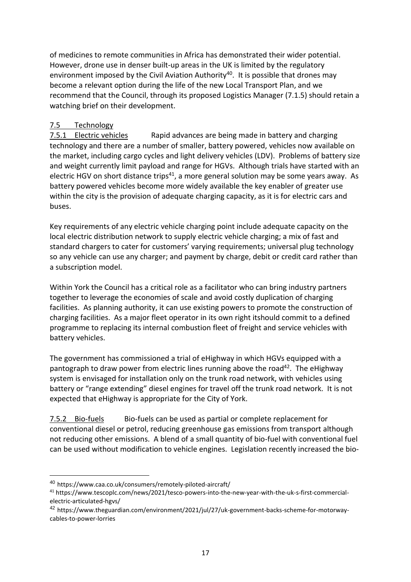of medicines to remote communities in Africa has demonstrated their wider potential. However, drone use in denser built-up areas in the UK is limited by the regulatory environment imposed by the Civil Aviation Authority<sup>40</sup>. It is possible that drones may become a relevant option during the life of the new Local Transport Plan, and we recommend that the Council, through its proposed Logistics Manager (7.1.5) should retain a watching brief on their development.

#### 7.5 Technology

7.5.1 Electric vehicles Rapid advances are being made in battery and charging technology and there are a number of smaller, battery powered, vehicles now available on the market, including cargo cycles and light delivery vehicles (LDV). Problems of battery size and weight currently limit payload and range for HGVs. Although trials have started with an electric HGV on short distance trips<sup>41</sup>, a more general solution may be some years away. As battery powered vehicles become more widely available the key enabler of greater use within the city is the provision of adequate charging capacity, as it is for electric cars and buses.

Key requirements of any electric vehicle charging point include adequate capacity on the local electric distribution network to supply electric vehicle charging; a mix of fast and standard chargers to cater for customers' varying requirements; universal plug technology so any vehicle can use any charger; and payment by charge, debit or credit card rather than a subscription model.

Within York the Council has a critical role as a facilitator who can bring industry partners together to leverage the economies of scale and avoid costly duplication of charging facilities. As planning authority, it can use existing powers to promote the construction of charging facilities. As a major fleet operator in its own right itshould commit to a defined programme to replacing its internal combustion fleet of freight and service vehicles with battery vehicles.

The government has commissioned a trial of eHighway in which HGVs equipped with a pantograph to draw power from electric lines running above the road<sup>42</sup>. The eHighway system is envisaged for installation only on the trunk road network, with vehicles using battery or "range extending" diesel engines for travel off the trunk road network. It is not expected that eHighway is appropriate for the City of York.

7.5.2 Bio-fuels Bio-fuels can be used as partial or complete replacement for conventional diesel or petrol, reducing greenhouse gas emissions from transport although not reducing other emissions. A blend of a small quantity of bio-fuel with conventional fuel can be used without modification to vehicle engines. Legislation recently increased the bio-

<sup>40</sup> https://www.caa.co.uk/consumers/remotely-piloted-aircraft/

<sup>41</sup> https://www.tescoplc.com/news/2021/tesco-powers-into-the-new-year-with-the-uk-s-first-commercialelectric-articulated-hgvs/

<sup>42</sup> https://www.theguardian.com/environment/2021/jul/27/uk-government-backs-scheme-for-motorwaycables-to-power-lorries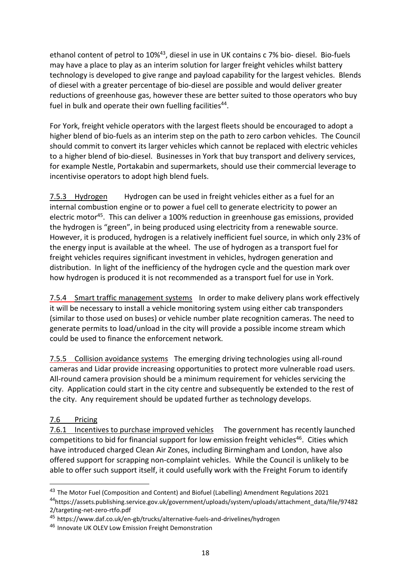ethanol content of petrol to 10%<sup>43</sup>, diesel in use in UK contains c 7% bio- diesel. Bio-fuels may have a place to play as an interim solution for larger freight vehicles whilst battery technology is developed to give range and payload capability for the largest vehicles. Blends of diesel with a greater percentage of bio-diesel are possible and would deliver greater reductions of greenhouse gas, however these are better suited to those operators who buy fuel in bulk and operate their own fuelling facilities $^{44}$ .

For York, freight vehicle operators with the largest fleets should be encouraged to adopt a higher blend of bio-fuels as an interim step on the path to zero carbon vehicles. The Council should commit to convert its larger vehicles which cannot be replaced with electric vehicles to a higher blend of bio-diesel. Businesses in York that buy transport and delivery services, for example Nestle, Portakabin and supermarkets, should use their commercial leverage to incentivise operators to adopt high blend fuels.

7.5.3 Hydrogen Hydrogen can be used in freight vehicles either as a fuel for an internal combustion engine or to power a fuel cell to generate electricity to power an electric motor<sup>45</sup>. This can deliver a 100% reduction in greenhouse gas emissions, provided the hydrogen is "green", in being produced using electricity from a renewable source. However, it is produced, hydrogen is a relatively inefficient fuel source, in which only 23% of the energy input is available at the wheel. The use of hydrogen as a transport fuel for freight vehicles requires significant investment in vehicles, hydrogen generation and distribution. In light of the inefficiency of the hydrogen cycle and the question mark over how hydrogen is produced it is not recommended as a transport fuel for use in York.

7.5.4 Smart traffic management systems In order to make delivery plans work effectively it will be necessary to install a vehicle monitoring system using either cab transponders (similar to those used on buses) or vehicle number plate recognition cameras. The need to generate permits to load/unload in the city will provide a possible income stream which could be used to finance the enforcement network.

7.5.5 Collision avoidance systems The emerging driving technologies using all-round cameras and Lidar provide increasing opportunities to protect more vulnerable road users. All-round camera provision should be a minimum requirement for vehicles servicing the city. Application could start in the city centre and subsequently be extended to the rest of the city. Any requirement should be updated further as technology develops.

## 7.6 Pricing

 $\overline{a}$ 

7.6.1 Incentives to purchase improved vehicles The government has recently launched competitions to bid for financial support for low emission freight vehicles<sup>46</sup>. Cities which have introduced charged Clean Air Zones, including Birmingham and London, have also offered support for scrapping non-complaint vehicles. While the Council is unlikely to be able to offer such support itself, it could usefully work with the Freight Forum to identify

<sup>43</sup> The Motor Fuel (Composition and Content) and Biofuel (Labelling) Amendment Regulations 2021 <sup>44</sup>https://assets.publishing.service.gov.uk/government/uploads/system/uploads/attachment\_data/file/97482 2/targeting-net-zero-rtfo.pdf

<sup>45</sup> https://www.daf.co.uk/en-gb/trucks/alternative-fuels-and-drivelines/hydrogen

<sup>46</sup> Innovate UK OLEV Low Emission Freight Demonstration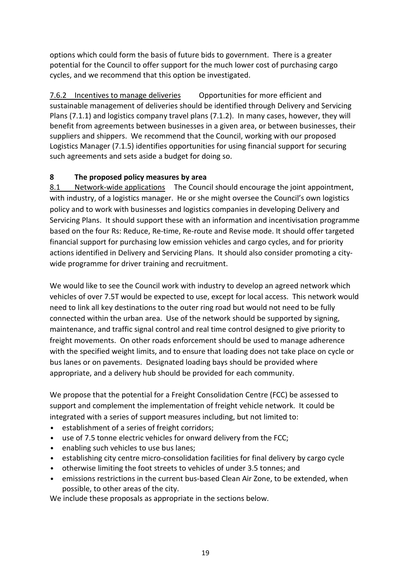options which could form the basis of future bids to government. There is a greater potential for the Council to offer support for the much lower cost of purchasing cargo cycles, and we recommend that this option be investigated.

7.6.2 Incentives to manage deliveries Opportunities for more efficient and sustainable management of deliveries should be identified through Delivery and Servicing Plans (7.1.1) and logistics company travel plans (7.1.2). In many cases, however, they will benefit from agreements between businesses in a given area, or between businesses, their suppliers and shippers. We recommend that the Council, working with our proposed Logistics Manager (7.1.5) identifies opportunities for using financial support for securing such agreements and sets aside a budget for doing so.

#### **8 The proposed policy measures by area**

8.1 Network-wide applications The Council should encourage the joint appointment, with industry, of a logistics manager. He or she might oversee the Council's own logistics policy and to work with businesses and logistics companies in developing Delivery and Servicing Plans. It should support these with an information and incentivisation programme based on the four Rs: Reduce, Re-time, Re-route and Revise mode. It should offer targeted financial support for purchasing low emission vehicles and cargo cycles, and for priority actions identified in Delivery and Servicing Plans. It should also consider promoting a citywide programme for driver training and recruitment.

We would like to see the Council work with industry to develop an agreed network which vehicles of over 7.5T would be expected to use, except for local access. This network would need to link all key destinations to the outer ring road but would not need to be fully connected within the urban area. Use of the network should be supported by signing, maintenance, and traffic signal control and real time control designed to give priority to freight movements. On other roads enforcement should be used to manage adherence with the specified weight limits, and to ensure that loading does not take place on cycle or bus lanes or on pavements. Designated loading bays should be provided where appropriate, and a delivery hub should be provided for each community.

We propose that the potential for a Freight Consolidation Centre (FCC) be assessed to support and complement the implementation of freight vehicle network. It could be integrated with a series of support measures including, but not limited to:

- establishment of a series of freight corridors;
- use of 7.5 tonne electric vehicles for onward delivery from the FCC;
- enabling such vehicles to use bus lanes;
- establishing city centre micro-consolidation facilities for final delivery by cargo cycle
- otherwise limiting the foot streets to vehicles of under 3.5 tonnes; and
- emissions restrictions in the current bus-based Clean Air Zone, to be extended, when possible, to other areas of the city.

We include these proposals as appropriate in the sections below.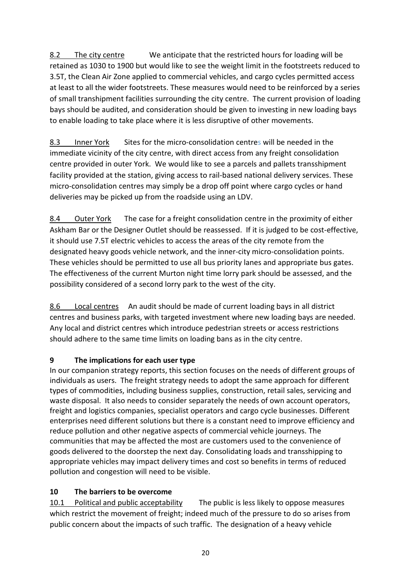8.2 The city centre We anticipate that the restricted hours for loading will be retained as 1030 to 1900 but would like to see the weight limit in the footstreets reduced to 3.5T, the Clean Air Zone applied to commercial vehicles, and cargo cycles permitted access at least to all the wider footstreets. These measures would need to be reinforced by a series of small transhipment facilities surrounding the city centre. The current provision of loading bays should be audited, and consideration should be given to investing in new loading bays to enable loading to take place where it is less disruptive of other movements.

8.3 Inner York Sites for the micro-consolidation centres will be needed in the immediate vicinity of the city centre, with direct access from any freight consolidation centre provided in outer York. We would like to see a parcels and pallets transshipment facility provided at the station, giving access to rail-based national delivery services. These micro-consolidation centres may simply be a drop off point where cargo cycles or hand deliveries may be picked up from the roadside using an LDV.

8.4 Outer York The case for a freight consolidation centre in the proximity of either Askham Bar or the Designer Outlet should be reassessed. If it is judged to be cost-effective, it should use 7.5T electric vehicles to access the areas of the city remote from the designated heavy goods vehicle network, and the inner-city micro-consolidation points. These vehicles should be permitted to use all bus priority lanes and appropriate bus gates. The effectiveness of the current Murton night time lorry park should be assessed, and the possibility considered of a second lorry park to the west of the city.

8.6 Local centres An audit should be made of current loading bays in all district centres and business parks, with targeted investment where new loading bays are needed. Any local and district centres which introduce pedestrian streets or access restrictions should adhere to the same time limits on loading bans as in the city centre.

# **9 The implications for each user type**

In our companion strategy reports, this section focuses on the needs of different groups of individuals as users. The freight strategy needs to adopt the same approach for different types of commodities, including business supplies, construction, retail sales, servicing and waste disposal. It also needs to consider separately the needs of own account operators, freight and logistics companies, specialist operators and cargo cycle businesses. Different enterprises need different solutions but there is a constant need to improve efficiency and reduce pollution and other negative aspects of commercial vehicle journeys. The communities that may be affected the most are customers used to the convenience of goods delivered to the doorstep the next day. Consolidating loads and transshipping to appropriate vehicles may impact delivery times and cost so benefits in terms of reduced pollution and congestion will need to be visible.

# **10 The barriers to be overcome**

10.1 Political and public acceptability The public is less likely to oppose measures which restrict the movement of freight; indeed much of the pressure to do so arises from public concern about the impacts of such traffic. The designation of a heavy vehicle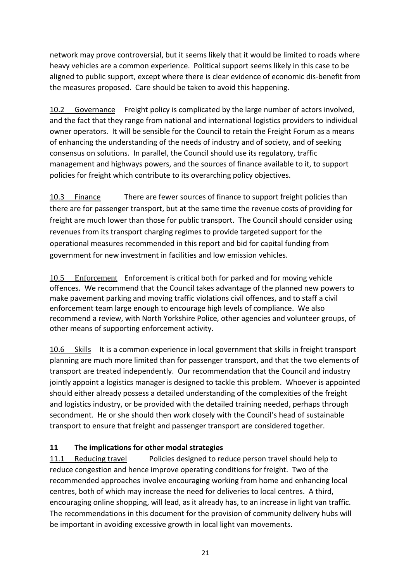network may prove controversial, but it seems likely that it would be limited to roads where heavy vehicles are a common experience. Political support seems likely in this case to be aligned to public support, except where there is clear evidence of economic dis-benefit from the measures proposed. Care should be taken to avoid this happening.

10.2 Governance Freight policy is complicated by the large number of actors involved, and the fact that they range from national and international logistics providers to individual owner operators. It will be sensible for the Council to retain the Freight Forum as a means of enhancing the understanding of the needs of industry and of society, and of seeking consensus on solutions. In parallel, the Council should use its regulatory, traffic management and highways powers, and the sources of finance available to it, to support policies for freight which contribute to its overarching policy objectives.

10.3 Finance There are fewer sources of finance to support freight policies than there are for passenger transport, but at the same time the revenue costs of providing for freight are much lower than those for public transport. The Council should consider using revenues from its transport charging regimes to provide targeted support for the operational measures recommended in this report and bid for capital funding from government for new investment in facilities and low emission vehicles.

10.5 Enforcement Enforcement is critical both for parked and for moving vehicle offences. We recommend that the Council takes advantage of the planned new powers to make pavement parking and moving traffic violations civil offences, and to staff a civil enforcement team large enough to encourage high levels of compliance. We also recommend a review, with North Yorkshire Police, other agencies and volunteer groups, of other means of supporting enforcement activity.

10.6 Skills It is a common experience in local government that skills in freight transport planning are much more limited than for passenger transport, and that the two elements of transport are treated independently. Our recommendation that the Council and industry jointly appoint a logistics manager is designed to tackle this problem. Whoever is appointed should either already possess a detailed understanding of the complexities of the freight and logistics industry, or be provided with the detailed training needed, perhaps through secondment. He or she should then work closely with the Council's head of sustainable transport to ensure that freight and passenger transport are considered together.

# **11 The implications for other modal strategies**

11.1 Reducing travel Policies designed to reduce person travel should help to reduce congestion and hence improve operating conditions for freight. Two of the recommended approaches involve encouraging working from home and enhancing local centres, both of which may increase the need for deliveries to local centres. A third, encouraging online shopping, will lead, as it already has, to an increase in light van traffic. The recommendations in this document for the provision of community delivery hubs will be important in avoiding excessive growth in local light van movements.